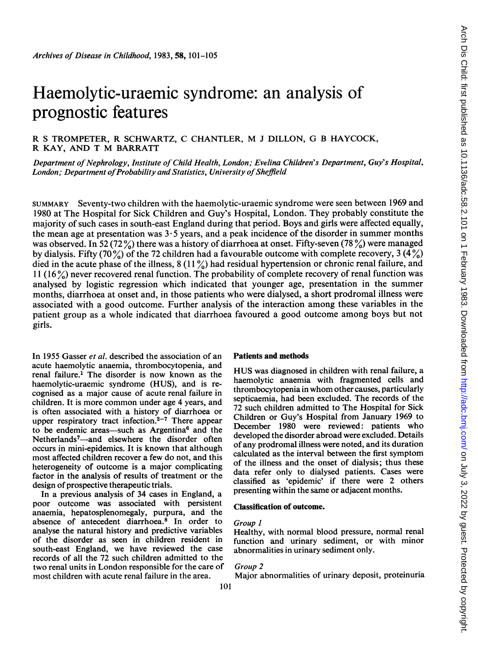# Haemolytic-uraemic syndrome: an analysis of prognostic features

R <sup>S</sup> TROMPETER, R SCHWARTZ, C CHANTLER, M <sup>J</sup> DILLON, G <sup>B</sup> HAYCOCK, R KAY, AND T M BARRATT

Department of Nephrology, Institute of Child Health, London; Evelina Children's Department, Guy's Hospital, London; Department of Probability and Statistics, University of Sheffield

SUMMARY Seventy-two children with the haemolytic-uraemic syndrome were seen between 1969 and 1980 at The Hospital for Sick Children and Guy's Hospital, London. They probably constitute the majority of such cases in south-east England during that period. Boys and girls were affected equally, the mean age at presentation was  $3.5$  years, and a peak incidence of the disorder in summer months was observed. In 52 (72%) there was a history of diarrhoea at onset. Fifty-seven (78%) were managed by dialysis. Fifty (70%) of the 72 children had a favourable outcome with complete recovery, 3 (4%) died in the acute phase of the illness,  $8(11\%)$  had residual hypertension or chronic renal failure, and 11 (16 %) never recovered renal function. The probability of complete recovery of renal function was analysed by logistic regression which indicated that younger age, presentation in the summer months, diarrhoea at onset and, in those patients who were dialysed, a short prodromal illness were associated with a good outcome. Further analysis of the interaction among these variables in the patient group as a whole indicated that diarrhoea favoured a good outcome among boys but not girls.

In 1955 Gasser et al. described the association of an acute haemolytic anaemia, thrombocytopenia, and renal failure.' The disorder is now known as the haemolytic-uraemic syndrome (HUS), and is recognised as a major cause of acute renal failure in children. It is more common under age 4 years, and is often associated with a history of diarrhoea or upper respiratory tract infection.<sup>2-7</sup> There appear to be endemic areas-such as Argentina<sup>6</sup> and the Netherlands<sup>7</sup>-and elsewhere the disorder often occurs in mini-epidemics. It is known that although most affected children recover a few do not, and this heterogeneity of outcome is a major complicating factor in the analysis of results of treatment or the design of prospective therapeutic trials.

In a previous analysis of 34 cases in England, a poor outcome was associated with persistent anaemia, hepatosplenomegaly, purpura, and the absence of antecedent diarrhoea.8 In order to analyse the natural history and predictive variables of the disorder as seen in children resident in south-east England, we have reviewed the case records of all the 72 such children admitted to the two renal units in London responsible for the care of most children with acute renal failure in the area.

### Patients and methods

HUS was diagnosed in children with renal failure, <sup>a</sup> haemolytic anaemia with fragmented cells and thrombocytopenia in whom other causes, particularly septicaemia, had been excluded. The records of the 72 such children admitted to The Hospital for Sick Children or Guy's Hospital from January 1969 to December 1980 were reviewed: patients who developed the disorder abroad were excluded. Details of any prodromal illness were noted, and its duration calculated as the interval between the first symptom of the illness and the onset of dialysis; thus these data refer only to dialysed patients. Cases were classified as 'epidemic' if there were 2 others presenting within the same or adjacent months.

# Classification of outcome.

# Group I

Healthy, with normal blood pressure, normal renal function and urinary sediment, or with minor abnormalities in urinary sediment only.

#### Group 2

Major abnormalities of urinary deposit, proteinuria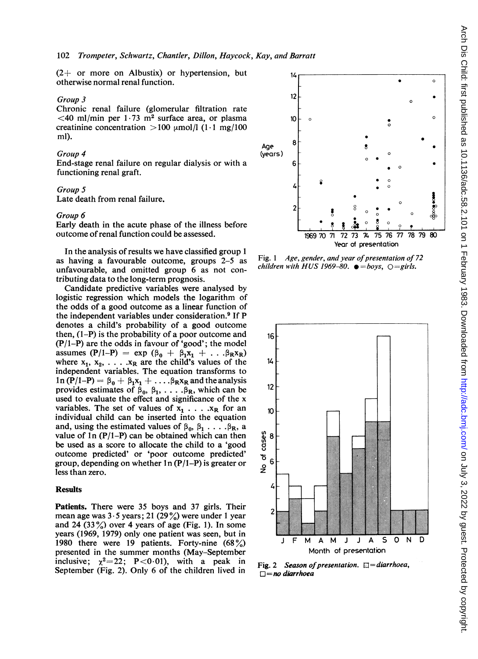$(2+$  or more on Albustix) or hypertension, but otherwise normal renal function.

#### Group 3

Chronic renal failure (glomerular filtration rate  $\leq$ 40 ml/min per 1.73 m<sup>2</sup> surface area, or plasma creatinine concentration  $>100 \mu$ mol/l (1.1 mg/100 ml).

### Group 4

End-stage renal failure on regular dialysis or with a functioning renal graft.

Late death from renal failure.

#### Group 6

Early death in the acute phase of the illness before outcome ofrenal function could be assessed.

In the analysis of results we have classified group <sup>1</sup> as having a favourable outcome, groups 2-5 as unfavourable, and omitted group 6 as not contributing data to the long-term prognosis.

Candidate predictive variables were analysed by logistic regression which models the logarithm of the odds of a good outcome as a linear function of the independent variables under consideration.<sup>9</sup> If P denotes a child's probability of a good outcome then,  $(1-P)$  is the probability of a poor outcome and (P/1-P) are the odds in favour of 'good'; the model assumes  $(P/I-P)$  = exp  $(\beta_0 + \beta_1x_1 + ... \beta_Rx_R)$ where  $x_1, x_2, \ldots, x_R$  are the child's values of the independent variables. The equation transforms to  $\ln(P/I-P) = \beta_0 + \beta_1x_1 + \ldots \beta_Rx_R$  and the analysis provides estimates of  $\beta_0$ ,  $\beta_1$ , ...,  $\beta_R$ , which can be used to evaluate the effect and significance of the x variables. The set of values of  $x_1$  . . . .  $x_R$  for an individual child can be inserted into the equation and, using the estimated values of  $\beta_0$ ,  $\beta_1$ .... $\beta_R$ , a value of  $1n (P/1-P)$  can be obtained which can then be used as a score to allocate the child to a 'good outcome predicted' or 'poor outcome predicted' group, depending on whether  $1n (P/1-P)$  is greater or less than zero.

## Results

Patients. There were 35 boys and 37 girls. Their mean age was  $3.5$  years; 21 (29%) were under 1 year and 24 (33%) over 4 years of age (Fig. 1). In some years (1969, 1979) only one patient was seen, but in 1980 there were 19 patients. Forty-nine  $(68\%)$ presented in the summer months (May-September inclusive;  $\chi^2 = 22$ ; P<0.01), with a peak in September (Fig. 2). Only 6 of the children lived in



Fig. 1 Age, gender, and year of presentation of 72 children with HUS 1969-80.  $\bullet = boys$ ,  $\bigcirc = girls$ .



Fig. 2 Season of presentation.  $\Box$  = diarrhoea,  $\square$  = no diarrhoea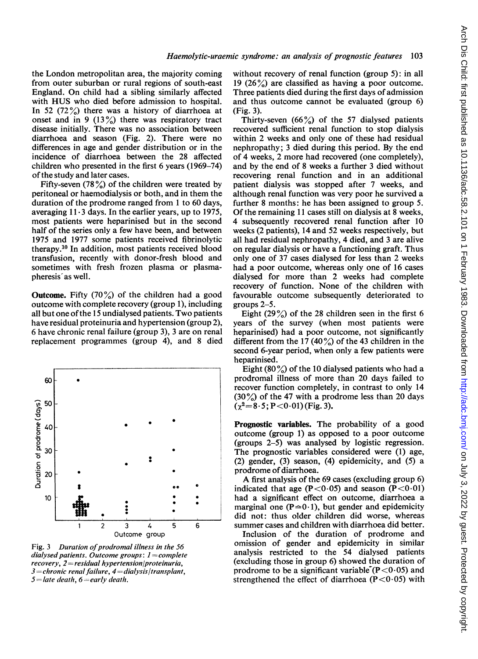the London metropolitan area, the majority coming from outer suburban or rural regions of south-east England. On child had a sibling similarly affected with HUS who died before admission to hospital. In 52  $(72\%)$  there was a history of diarrhoea at onset and in 9  $(13\%)$  there was respiratory tract disease initially. There was no association between diarrhoea and season (Fig. 2). There were no differences in age and gender distribution or in the incidence of diarrhoea between the 28 affected children who presented in the first 6 years (1969-74) of the study and later cases.

Fifty-seven (78  $\%$ ) of the children were treated by peritoneal or haemodialysis or both, and in them the duration of the prodrome ranged from <sup>1</sup> to 60 days, averaging  $11 \cdot 3$  days. In the earlier years, up to 1975, most patients were heparinised but in the second half of the series only a few have been, and between 1975 and 1977 some patients received fibrinolytic therapy.10 In addition, most patients received blood transfusion, recently with donor-fresh blood and sometimes with fresh frozen plasma or plasmapheresis' as well.

**Outcome.** Fifty  $(70\%)$  of the children had a good outcome with complete recovery (group 1), including all but one ofthe <sup>15</sup> undialysed patients. Two patients have residual proteinuria and hypertension (group 2), 6 have chronic renal failure (group 3), 3 are on renal replacement programmes (group 4), and 8 died



Fig. 3 Duration of prodromal illness in the  $56$ dialysed patients. Outcome groups:  $1=$ complete  $recovery, 2=residual\ hypertension/proteinuria,$  $3$  = chronic renal failure,  $4$  = dialysis/transplant,  $5 =$ late death,  $6 =$ early death.

without recovery of renal function (group 5): in all 19 (26 $\frac{\%}{\%}$ ) are classified as having a poor outcome. Three patients died during the first days of admission and thus outcome cannot be evaluated (group 6) (Fig. 3).

Thirty-seven  $(66\%)$  of the 57 dialysed patients recovered sufficient renal function to stop dialysis within 2 weeks and only one of these had residual nephropathy; <sup>3</sup> died during this period. By the end of 4 weeks, 2 more had recovered (one completely), and by the end of 8 weeks a further 3 died without recovering renal function and in an additional patient dialysis was stopped after 7 weeks, and although renal function was very poor he survived a further 8 months: he has been assigned to group 5. Of the remaining <sup>11</sup> cases still on dialysis at 8 weeks, 4 subsequently recovered renal function after 10 weeks (2 patients), 14 and 52 weeks respectively, but all had residual nephropathy, 4 died, and 3 are alive on regular dialysis or have a functioning graft. Thus only one of 37 cases dialysed for less than 2 weeks had a poor outcome, whereas only one of 16 cases dialysed for more than 2 weeks had complete recovery of function. None of the children with favourable outcome subsequently deteriorated to groups 2-5.

Eight (29%) of the 28 children seen in the first 6 years of the survey (when most patients were heparinised) had a poor outcome, not significantly different from the 17 (40  $\frac{\%}{\%}$ ) of the 43 children in the second 6-year period, when only a few patients were heparinised.

Eight (80  $\%$ ) of the 10 dialysed patients who had a prodromal illness of more than 20 days failed to recover function completely, in contrast to only 14  $(30\%)$  of the 47 with a prodrome less than 20 days  $(\chi^2=8.5; P<0.01)$  (Fig. 3).

Prognostic variables. The probability of a good outcome (group 1) as opposed to a poor outcome (groups 2-5) was analysed by logistic regression. The prognostic variables considered were (1) age, (2) gender, (3) season, (4) epidemicity, and (5) a prodrome of diarrhoea.

A first analysis of the <sup>69</sup> cases (excluding group 6) indicated that age (P<0.05) and season (P<0.01) . had a significant effect on outcome, diarrhoea a marginal one ( $P \approx 0.1$ ), but gender and epidemicity did not: thus older children did worse, whereas <sup>5</sup> <sup>6</sup> summer cases and children with diarrhoea did better.

Inclusion of the duration of prodrome and<br>omission of gender and epidemicity in similar  $e\,56$  omission of gender and epidemicity in similar  $e\,56$  $_{i}$ plete analysis restricted to the  $_{54}$  dialysed patients (excluding those in group 6) showed the duration of prodrome to be a significant variable  $(P<0.05)$  and strengthened the effect of diarrhoea ( $P < 0.05$ ) with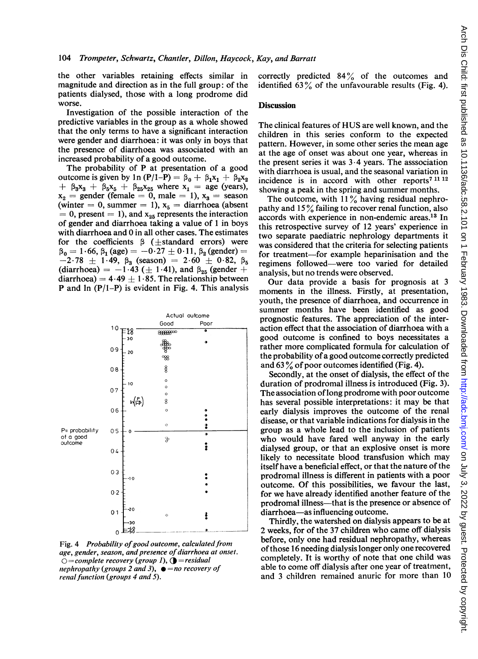the other variables retaining effects similar in magnitude and direction as in the full group: of the patients dialysed, those with a long prodrome did worse.

Investigation of the possible interaction of the predictive variables in the group as a whole showed that the only terms to have a significant interaction were gender and diarrhoea: it was only in boys that the presence of diarrhoea was associated with an increased probability of a good outcome.

The probability of P at presentation of a good outcome is given by 1n (P/1-P) =  $\beta_0 + \beta_1x_1 + \beta_2x_2$  $+ \beta_3x_3 + \beta_5x_5 + \beta_{25}x_{25}$  where  $x_1 =$  age (years),  $x_2$  = gender (female = 0, male = 1),  $x_3$  = season (winter = 0, summer = 1),  $x_5$  = diarrhoea (absent  $= 0$ , present  $= 1$ ), and  $x_{25}$  represents the interaction of gender and diarrhoea taking a value of <sup>1</sup> in boys with diarrhoea and 0 in all other cases. The estimates for the coefficients  $\beta$  ( $\pm$ standard errors) were  $\beta_0 = 1.66$ ,  $\beta_1$  (age) = -0.27  $\pm$  0.11,  $\beta_2$  (gender) =  $-2.78 \pm 1.49$ ,  $\beta_3$  (season) =  $2.60 \pm 0.82$ ,  $\beta_5$ (diarrhoea) =  $-1.43$  ( $\pm 1.41$ ), and  $\beta_{25}$  (gender + diarrhoea) =  $4.49 \pm 1.85$ . The relationship between **P** and  $\ln (P/1-P)$  is evident in Fig. 4. This analysis



Fig. 4 Probability of good outcome, calculated from age, gender, season, and presence of diarrhoea at onset.  $Q=complete$  recovery (group 1),  $Q=residual$ nephropathy (groups 2 and 3),  $\bullet$  = no recovery of renal function (groups 4 and 5).

correctly predicted  $84\%$  of the outcomes and identified 63% of the unfavourable results (Fig. 4).

### **Discussion**

The clinical features of HUS are well known, and the children in this series conform to the expected pattern. However, in some other series the mean age at the age of onset was about one year, whereas in the present series it was  $3 \cdot 4$  years. The association with diarrhoea is usual, and the seasonal variation in incidence is in accord with other reports7 <sup>11</sup> <sup>12</sup> showing a peak in the spring and summer months.

The outcome, with  $11\%$  having residual nephropathy and  $15\%$  failing to recover renal function, also accords with experience in non-endemic areas.13 In this retrospective survey of 12 years' experience in two separate paediatric nephrology departments it was considered that the criteria for selecting patients for treatment-for example heparinisation and the regimens followed-were too varied for detailed analysis, but no trends were observed.

Our data provide <sup>a</sup> basis for prognosis at 3 moments in the illness. Firstly, at presentation, youth, the presence of diarrhoea, and occurrence in summer months have been identified as good prognostic features. The appreciation of the interaction effect that the association of diarrhoea with a good outcome is confined to boys necessitates a rather more complicated formula for calculation of the probability of a good outcome correctly predicted and  $63\%$  of poor outcomes identified (Fig. 4).

Secondly, at the onset of dialysis, the effect of the duration of prodromal illness is introduced (Fig. 3). The association of long prodrome with poor outcome has several possible interpretations: it may be that early dialysis improves the outcome of the renal disease, or that variable indications for dialysis in the group as a whole lead to the inclusion of patients who would have fared well anyway in the early dialysed group, or that an explosive onset is more likely to necessitate blood transfusion which may itself have a beneficial effect, or that the nature of the prodromal illness is different in patients with a poor outcome. Of this possibilities, we favour the last, for we have already identified another feature of the prodromal illness—that is the presence or absence of diarrhoea-as influencing outcome.

Thirdly, the watershed on dialysis appears to be at 2 weeks, for of the 37 children who came off dialysis before, only one had residual nephropathy, whereas of those 16 needing dialysis longer only one recovered completely. It is worthy of note that one child was able to come off dialysis after one year of treatment, and <sup>3</sup> children remained anuric for more than 10